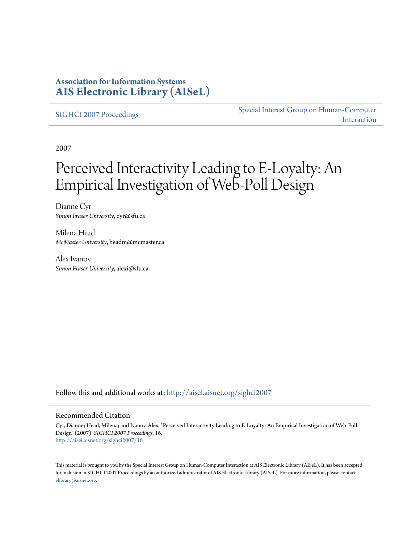### **Association for Information Systems [AIS Electronic Library \(AISeL\)](http://aisel.aisnet.org?utm_source=aisel.aisnet.org%2Fsighci2007%2F16&utm_medium=PDF&utm_campaign=PDFCoverPages)**

[SIGHCI 2007 Proceedings](http://aisel.aisnet.org/sighci2007?utm_source=aisel.aisnet.org%2Fsighci2007%2F16&utm_medium=PDF&utm_campaign=PDFCoverPages)

[Special Interest Group on Human-Computer](http://aisel.aisnet.org/sighci?utm_source=aisel.aisnet.org%2Fsighci2007%2F16&utm_medium=PDF&utm_campaign=PDFCoverPages) [Interaction](http://aisel.aisnet.org/sighci?utm_source=aisel.aisnet.org%2Fsighci2007%2F16&utm_medium=PDF&utm_campaign=PDFCoverPages)

2007

# Perceived Interactivity Leading to E-Loyalty: An Empirical Investigation of Web-Poll Design

Dianne Cyr *Simon Fraser University*, cyr@sfu.ca

Milena Head *McMaster University*, headm@mcmaster.ca

Alex Ivanov *Simon Fraser University*, alexi@sfu.ca

Follow this and additional works at: [http://aisel.aisnet.org/sighci2007](http://aisel.aisnet.org/sighci2007?utm_source=aisel.aisnet.org%2Fsighci2007%2F16&utm_medium=PDF&utm_campaign=PDFCoverPages)

#### Recommended Citation

Cyr, Dianne; Head, Milena; and Ivanov, Alex, "Perceived Interactivity Leading to E-Loyalty: An Empirical Investigation of Web-Poll Design" (2007). *SIGHCI 2007 Proceedings*. 16. [http://aisel.aisnet.org/sighci2007/16](http://aisel.aisnet.org/sighci2007/16?utm_source=aisel.aisnet.org%2Fsighci2007%2F16&utm_medium=PDF&utm_campaign=PDFCoverPages)

This material is brought to you by the Special Interest Group on Human-Computer Interaction at AIS Electronic Library (AISeL). It has been accepted for inclusion in SIGHCI 2007 Proceedings by an authorized administrator of AIS Electronic Library (AISeL). For more information, please contact [elibrary@aisnet.org.](mailto:elibrary@aisnet.org%3E)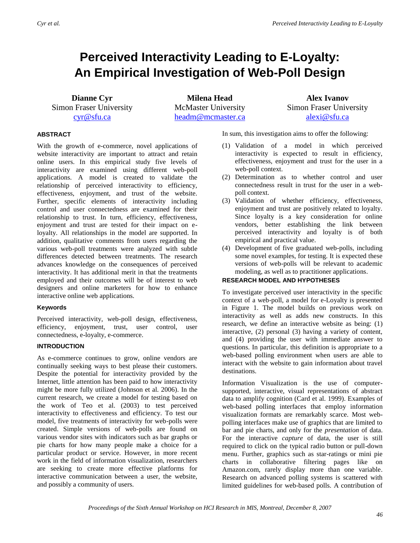## **Perceived Interactivity Leading to E-Loyalty: An Empirical Investigation of Web-Poll Design**

**Dianne Cyr** Simon Fraser University [cyr@sfu.ca](mailto:cyr@sfu.ca)

**Milena Head** McMaster University [headm@mcmaster.ca](mailto:headm@mcmaster.ca)

**Alex Ivanov** Simon Fraser University [alexi@sfu.ca](mailto:alexi@sfu.ca)

#### **ABSTRACT**

With the growth of e-commerce, novel applications of website interactivity are important to attract and retain online users. In this empirical study five levels of interactivity are examined using different web-poll applications. A model is created to validate the relationship of perceived interactivity to efficiency, effectiveness, enjoyment, and trust of the website. Further, specific elements of interactivity including control and user connectedness are examined for their relationship to trust. In turn, efficiency, effectiveness, enjoyment and trust are tested for their impact on eloyalty. All relationships in the model are supported. In addition, qualitative comments from users regarding the various web-poll treatments were analyzed with subtle differences detected between treatments. The research advances knowledge on the consequences of perceived interactivity. It has additional merit in that the treatments employed and their outcomes will be of interest to web designers and online marketers for how to enhance interactive online web applications.

#### **Keywords**

Perceived interactivity, web-poll design, effectiveness, efficiency, enjoyment, trust, user control, user connectedness, e-loyalty, e-commerce.

#### **INTRODUCTION**

As e-commerce continues to grow, online vendors are continually seeking ways to best please their customers. Despite the potential for interactivity provided by the Internet, little attention has been paid to how interactivity might be more fully utilized (Johnson et al. 2006). In the current research, we create a model for testing based on the work of Teo et al. (2003) to test perceived interactivity to effectiveness and efficiency. To test our model, five treatments of interactivity for web-polls were created. Simple versions of web-polls are found on various vendor sites with indicators such as bar graphs or pie charts for how many people make a choice for a particular product or service. However, in more recent work in the field of information visualization, researchers are seeking to create more effective platforms for interactive communication between a user, the website, and possibly a community of users.

In sum, this investigation aims to offer the following:

- (1) Validation of a model in which perceived interactivity is expected to result in efficiency, effectiveness, enjoyment and trust for the user in a web-poll context.
- (2) Determination as to whether control and user connectedness result in trust for the user in a webpoll context.
- (3) Validation of whether efficiency, effectiveness, enjoyment and trust are positively related to loyalty. Since loyalty is a key consideration for online vendors, better establishing the link between perceived interactivity and loyalty is of both empirical and practical value.
- (4) Development of five graduated web-polls, including some novel examples, for testing. It is expected these versions of web-polls will be relevant to academic modeling, as well as to practitioner applications.

#### **RESEARCH MODEL AND HYPOTHESES**

To investigate perceived user interactivity in the specific context of a web-poll, a model for e-Loyalty is presented in Figure 1. The model builds on previous work on interactivity as well as adds new constructs. In this research, we define an interactive website as being: (1) interactive, (2) personal (3) having a variety of content, and (4) providing the user with immediate answer to questions. In particular, this definition is appropriate to a web-based polling environment when users are able to interact with the website to gain information about travel destinations.

Information Visualization is the use of computersupported, interactive, visual representations of abstract data to amplify cognition (Card et al. 1999). Examples of web-based polling interfaces that employ information visualization formats are remarkably scarce. Most webpolling interfaces make use of graphics that are limited to bar and pie charts, and only for the *presentation* of data. For the interactive *capture* of data, the user is still required to click on the typical radio button or pull-down menu. Further, graphics such as star-ratings or mini pie charts in collaborative filtering pages like on Amazon.com, rarely display more than one variable. Research on advanced polling systems is scattered with limited guidelines for web-based polls. A contribution of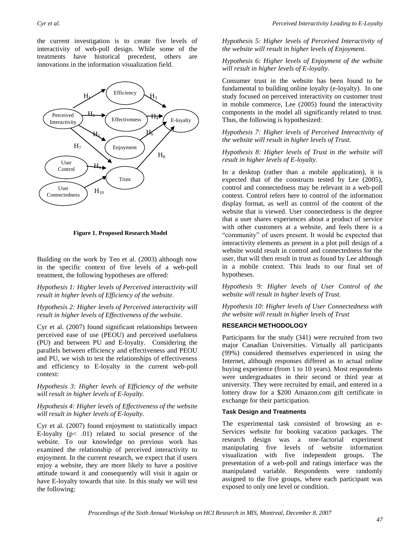the current investigation is to create five levels of interactivity of web-poll design. While some of the treatments have historical precedent, others are innovations in the information visualization field.



**Figure 1. Proposed Research Model**

Building on the work by Teo et al. (2003) although now in the specific context of five levels of a web-poll treatment, the following hypotheses are offered:

*Hypothesis 1: Higher levels of Perceived interactivity will result in higher levels of Efficiency of the website.*

#### *Hypothesis 2: Higher levels of Perceived interactivity will result in higher levels of Effectiveness of the website.*

Cyr et al. (2007) found significant relationships between perceived ease of use (PEOU) and perceived usefulness (PU) and between PU and E-loyalty. Considering the parallels between efficiency and effectiveness and PEOU and PU, we wish to test the relationships of effectiveness and efficiency to E-loyalty in the current web-poll context:

*Hypothesis 3: Higher levels of Efficiency of the website will result in higher levels of E-loyalty.*

#### *Hypothesis 4: Higher levels of Effectiveness of the website will result in higher levels of E-loyalty.*

Cyr et al. (2007) found enjoyment to statistically impact E-loyalty  $(p<.01)$  related to social presence of the website. To our knowledge no previous work has examined the relationship of perceived interactivity to enjoyment. In the current research, we expect that if users enjoy a website, they are more likely to have a positive attitude toward it and consequently will visit it again or have E-loyalty towards that site. In this study we will test the following:

#### *Hypothesis 5: Higher levels of Perceived Interactivity of the website will result in higher levels of Enjoyment.*

#### *Hypothesis 6: Higher levels of Enjoyment of the website will result in higher levels of E-loyalty.*

Consumer trust in the website has been found to be fundamental to building online loyalty (e-loyalty). In one study focused on perceived interactivity on customer trust in mobile commerce, Lee (2005) found the interactivity components in the model all significantly related to trust. Thus, the following is hypothesized:

#### *Hypothesis 7: Higher levels of Perceived Interactivity of the website will result in higher levels of Trust.*

#### *Hypothesis 8: Higher levels of Trust in the website will result in higher levels of E-loyalty.*

In a desktop (rather than a mobile application), it is expected that of the constructs tested by Lee (2005), control and connectedness may be relevant in a web-poll context. Control refers here to control of the information display format, as well as control of the content of the website that is viewed. User connectedness is the degree that a user shares experiences about a product of service with other customers at a website, and feels there is a "community" of users present. It would be expected that interactivity elements as present in a plot poll design of a website would result in control and connectedness for the user, that will then result in trust as found by Lee although in a mobile context. This leads to our final set of hypotheses.

*Hypothesis 9: Higher levels of User Control of the website will result in higher levels of Trust.* 

*Hypothesis 10: Higher levels of User Connectedness with the website will result in higher levels of Trust*

#### **RESEARCH METHODOLOGY**

Participants for the study (341) were recruited from two major Canadian Universities. Virtually all participants (99%) considered themselves experienced in using the Internet, although responses differed as to actual online buying experience (from 1 to 10 years). Most respondents were undergraduates in their second or third year at university. They were recruited by email, and entered in a lottery draw for a \$200 Amazon.com gift certificate in exchange for their participation.

#### **Task Design and Treatments**

The experimental task consisted of browsing an e-Services website for booking vacation packages. The research design was a one-factorial experiment manipulating five levels of website information visualization with five independent groups. The presentation of a web-poll and ratings interface was the manipulated variable. Respondents were randomly assigned to the five groups, where each participant was exposed to only one level or condition.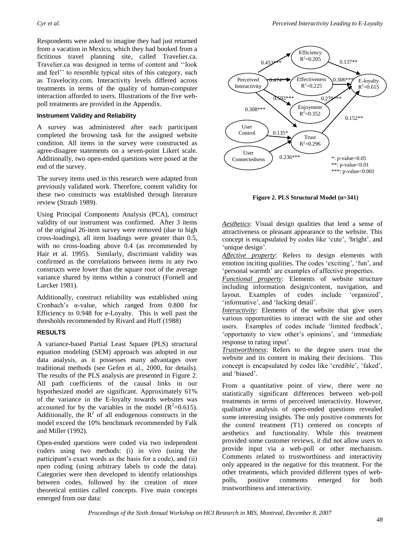Respondents were asked to imagine they had just returned from a vacation in Mexico, which they had booked from a fictitious travel planning site, called Travelier.ca. Travelier.ca was designed in terms of content and ""look and feel" to resemble typical sites of this category, such as Travelocity.com. Interactivity levels differed across treatments in terms of the quality of human-computer interaction afforded to users. Illustrations of the five webpoll treatments are provided in the Appendix.

#### **Instrument Validity and Reliability**

A survey was administered after each participant completed the browsing task for the assigned website condition. All items in the survey were constructed as agree-disagree statements on a seven-point Likert scale. Additionally, two open-ended questions were posed at the end of the survey.

The survey items used in this research were adapted from previously validated work. Therefore, content validity for these two constructs was established through literature review (Straub 1989).

Using Principal Components Analysis (PCA), construct validity of our instrument was confirmed. After 3 items of the original 26-item survey were removed (due to high cross-loadings), all item loadings were greater than 0.5, with no cross-loading above 0.4 (as recommended by Hair et al. 1995). Similarly, discrimiant validity was confirmed as the correlations between items in any two constructs were lower than the square root of the average variance shared by items within a construct (Fornell and Larcker 1981).

Additionally, construct reliability was established using Cronbach"s α-value, which ranged from 0.800 for Efficiency to 0.948 for e-Loyalty. This is well past the thresholds recommended by Rivard and Huff (1988)

#### **RESULTS**

A variance-based Partial Least Square (PLS) structural equation modeling (SEM) approach was adopted in our data analysis, as it possesses many advantages over traditional methods (see Gefen et al., 2000, for details). The results of the PLS analysis are presented in Figure 2. All path coefficients of the causal links in our hypothesized model are significant. Approximately 61% of the variance in the E-loyalty towards websites was accounted for by the variables in the model ( $R^2$ =0.615). Additionally, the  $R^2$  of all endogenous constructs in the model exceed the 10% benchmark recommended by Falk and Miller (1992).

Open-ended questions were coded via two independent coders using two methods: (i) in vivo (using the participant's exact words as the basis for a code), and (ii) open coding (using arbitrary labels to code the data). Categories were then developed to identify relationships between codes, followed by the creation of more theoretical entities called concepts. Five main concepts emerged from our data:



**Figure 2. PLS Structural Model (n=341)**

*Aesthetics*: Visual design qualities that lend a sense of attractiveness or pleasant appearance to the website. This concept is encapsulated by codes like 'cute', 'bright', and 'unique design'.

*Affective property*: Refers to design elements with emotion inciting qualities. The codes 'exciting', 'fun', and 'personal warmth' are examples of affective properties.

*Functional property*: Elements of website structure including information design/content, navigation, and layout. Examples of codes include "organized", 'informative', and 'lacking detail'.

*Interactivity*: Elements of the website that give users various opportunities to interact with the site and other users. Examples of codes include "limited feedback", 'opportunity to view other's opinions', and 'immediate response to rating input<sup>2</sup>.

*Trustworthiness*: Refers to the degree users trust the website and its content in making their decisions. This concept is encapsulated by codes like "credible", "faked", and "biased".

From a quantitative point of view, there were no statistically significant differences between web-poll treatments in terms of perceived interactivity. However, qualitative analysis of open-ended questions revealed some interesting insights. The only positive comments for the control treatment (T1) centered on concepts of aesthetics and functionality. While this treatment provided some customer reviews, it did not allow users to provide input via a web-poll or other mechanism. Comments related to trustworthiness and interactivity only appeared in the negative for this treatment. For the other treatments, which provided different types of webpolls, positive comments emerged for both trustworthiness and interactivity.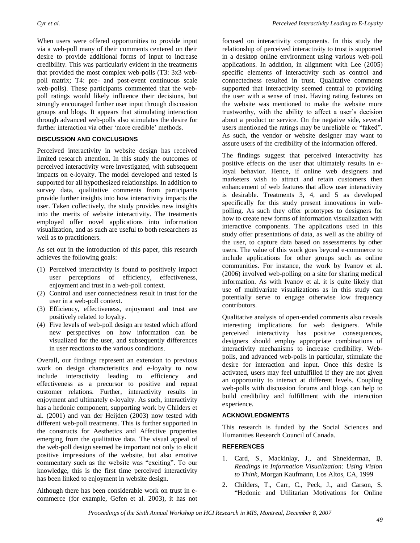When users were offered opportunities to provide input via a web-poll many of their comments centered on their desire to provide additional forms of input to increase credibility. This was particularly evident in the treatments that provided the most complex web-polls (T3: 3x3 webpoll matrix; T4: pre- and post-event continuous scale web-polls). These participants commented that the webpoll ratings would likely influence their decisions, but strongly encouraged further user input through discussion groups and blogs. It appears that stimulating interaction through advanced web-polls also stimulates the desire for further interaction via other 'more credible' methods.

#### **DISCUSSION AND CONCLUSIONS**

Perceived interactivity in website design has received limited research attention. In this study the outcomes of perceived interactivity were investigated, with subsequent impacts on e-loyalty. The model developed and tested is supported for all hypothesized relationships. In addition to survey data, qualitative comments from participants provide further insights into how interactivity impacts the user. Taken collectively, the study provides new insights into the merits of website interactivity. The treatments employed offer novel applications into information visualization, and as such are useful to both researchers as well as to practitioners.

As set out in the introduction of this paper, this research achieves the following goals:

- (1) Perceived interactivity is found to positively impact user perceptions of efficiency, effectiveness, enjoyment and trust in a web-poll context.
- (2) Control and user connectedness result in trust for the user in a web-poll context.
- (3) Efficiency, effectiveness, enjoyment and trust are positively related to loyalty.
- (4) Five levels of web-poll design are tested which afford new perspectives on how information can be visualized for the user, and subsequently differences in user reactions to the various conditions.

Overall, our findings represent an extension to previous work on design characteristics and e-loyalty to now include interactivity leading to efficiency and effectiveness as a precursor to positive and repeat customer relations. Further, interactivity results in enjoyment and ultimately e-loyalty. As such, interactivity has a hedonic component, supporting work by Childers et al. (2001) and van der Heijden (2003) now tested with different web-poll treatments. This is further supported in the constructs for Aesthetics and Affective properties emerging from the qualitative data. The visual appeal of the web-poll design seemed be important not only to elicit positive impressions of the website, but also emotive commentary such as the website was "exciting". To our knowledge, this is the first time perceived interactivity has been linked to enjoyment in website design.

Although there has been considerable work on trust in ecommerce (for example, Gefen et al. 2003), it has not focused on interactivity components. In this study the relationship of perceived interactivity to trust is supported in a desktop online environment using various web-poll applications. In addition, in alignment with Lee (2005) specific elements of interactivity such as control and connectedness resulted in trust. Qualitative comments supported that interactivity seemed central to providing the user with a sense of trust. Having rating features on the website was mentioned to make the website more trustworthy, with the ability to affect a user"s decision about a product or service. On the negative side, several users mentioned the ratings may be unreliable or "faked". As such, the vendor or website designer may want to assure users of the credibility of the information offered.

The findings suggest that perceived interactivity has positive effects on the user that ultimately results in eloyal behavior. Hence, if online web designers and marketers wish to attract and retain customers then enhancement of web features that allow user interactivity is desirable. Treatments 3, 4, and 5 as developed specifically for this study present innovations in webpolling. As such they offer prototypes to designers for how to create new forms of information visualization with interactive components. The applications used in this study offer presentations of data, as well as the ability of the user, to capture data based on assessments by other users. The value of this work goes beyond e-commerce to include applications for other groups such as online communities. For instance, the work by Ivanov et al. (2006) involved web-polling on a site for sharing medical information. As with Ivanov et al. it is quite likely that use of multivariate visualizations as in this study can potentially serve to engage otherwise low frequency contributors.

Qualitative analysis of open-ended comments also reveals interesting implications for web designers. While perceived interactivity has positive consequences, designers should employ appropriate combinations of interactivity mechanisms to increase credibility. Webpolls, and advanced web-polls in particular, stimulate the desire for interaction and input. Once this desire is activated, users may feel unfulfilled if they are not given an opportunity to interact at different levels. Coupling web-polls with discussion forums and blogs can help to build credibility and fulfillment with the interaction experience.

#### **ACKNOWLEDGMENTS**

This research is funded by the Social Sciences and Humanities Research Council of Canada.

#### **REFERENCES**

- 1. Card, S., Mackinlay, J., and Shneiderman, B. *Readings in Information Visualization: Using Vision to Think*, Morgan Kaufmann, Los Altos, CA, 1999
- 2. Childers, T., Carr, C., Peck, J., and Carson, S. "Hedonic and Utilitarian Motivations for Online